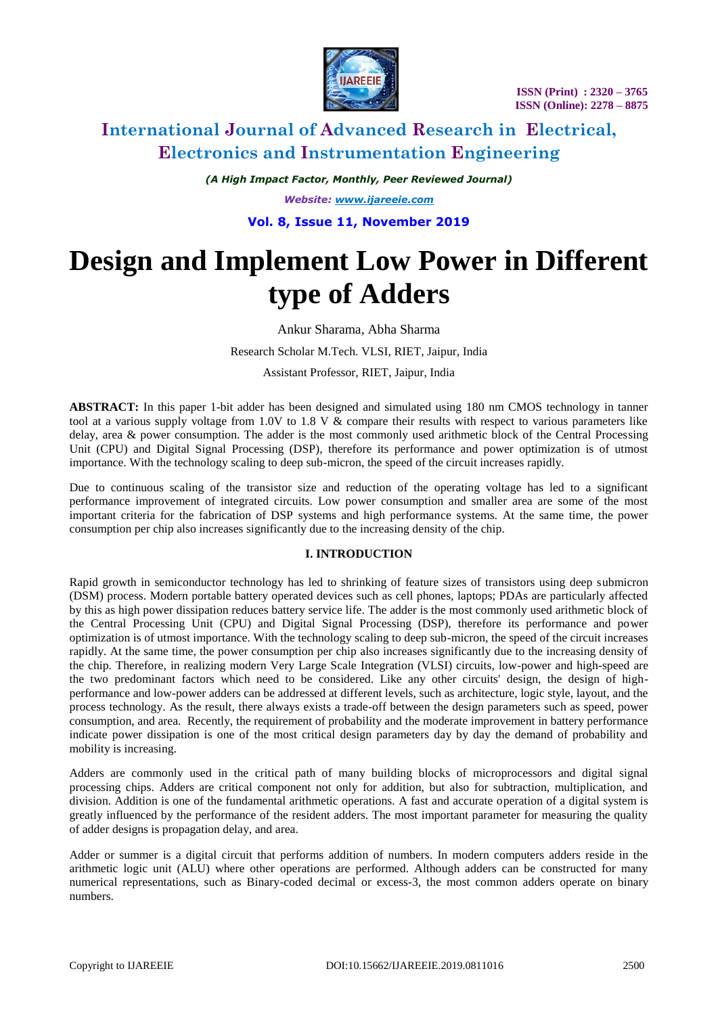

*(A High Impact Factor, Monthly, Peer Reviewed Journal)*

*Website: [www.ijareeie.com](http://www.ijareeie.com/)*

### **Vol. 8, Issue 11, November 2019**

# **Design and Implement Low Power in Different type of Adders**

### Ankur Sharama, Abha Sharma

Research Scholar M.Tech. VLSI, RIET, Jaipur, India

Assistant Professor, RIET, Jaipur, India

**ABSTRACT:** In this paper 1-bit adder has been designed and simulated using 180 nm CMOS technology in tanner tool at a various supply voltage from 1.0V to 1.8 V  $\&$  compare their results with respect to various parameters like delay, area & power consumption. The adder is the most commonly used arithmetic block of the Central Processing Unit (CPU) and Digital Signal Processing (DSP), therefore its performance and power optimization is of utmost importance. With the technology scaling to deep sub-micron, the speed of the circuit increases rapidly.

Due to continuous scaling of the transistor size and reduction of the operating voltage has led to a significant performance improvement of integrated circuits. Low power consumption and smaller area are some of the most important criteria for the fabrication of DSP systems and high performance systems. At the same time, the power consumption per chip also increases significantly due to the increasing density of the chip.

#### **I. INTRODUCTION**

Rapid growth in semiconductor technology has led to shrinking of feature sizes of transistors using deep submicron (DSM) process. Modern portable battery operated devices such as cell phones, laptops; PDAs are particularly affected by this as high power dissipation reduces battery service life. The adder is the most commonly used arithmetic block of the Central Processing Unit (CPU) and Digital Signal Processing (DSP), therefore its performance and power optimization is of utmost importance. With the technology scaling to deep sub-micron, the speed of the circuit increases rapidly. At the same time, the power consumption per chip also increases significantly due to the increasing density of the chip. Therefore, in realizing modern Very Large Scale Integration (VLSI) circuits, low-power and high-speed are the two predominant factors which need to be considered. Like any other circuits' design, the design of highperformance and low-power adders can be addressed at different levels, such as architecture, logic style, layout, and the process technology. As the result, there always exists a trade-off between the design parameters such as speed, power consumption, and area. Recently, the requirement of probability and the moderate improvement in battery performance indicate power dissipation is one of the most critical design parameters day by day the demand of probability and mobility is increasing.

Adders are commonly used in the critical path of many building blocks of microprocessors and digital signal processing chips. Adders are critical component not only for addition, but also for subtraction, multiplication, and division. Addition is one of the fundamental arithmetic operations. A fast and accurate operation of a digital system is greatly influenced by the performance of the resident adders. The most important parameter for measuring the quality of adder designs is propagation delay, and area.

Adder or summer is a digital circuit that performs addition of numbers. In modern computers adders reside in the arithmetic logic unit (ALU) where other operations are performed. Although adders can be constructed for many numerical representations, such as Binary-coded decimal or excess-3, the most common adders operate on binary numbers.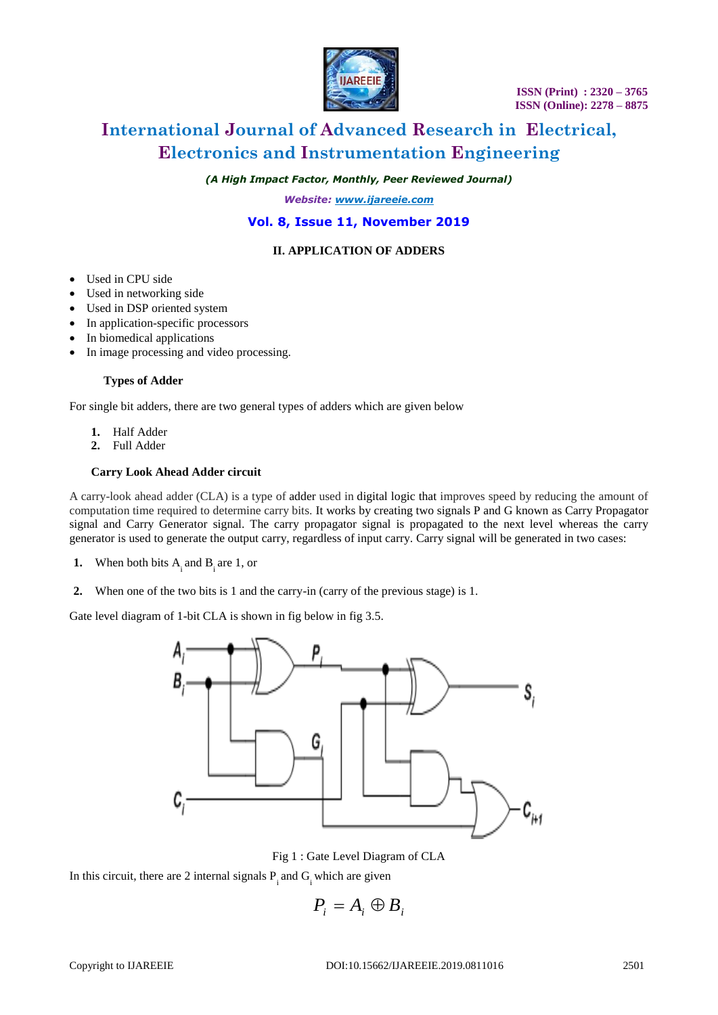

*(A High Impact Factor, Monthly, Peer Reviewed Journal)*

*Website: [www.ijareeie.com](http://www.ijareeie.com/)*

## **Vol. 8, Issue 11, November 2019**

### **II. APPLICATION OF ADDERS**

- Used in CPU side
- Used in networking side
- Used in DSP oriented system
- In application-specific processors
- In biomedical applications
- In image processing and video processing.

#### **Types of Adder**

For single bit adders, there are two general types of adders which are given below

- **1.** Half Adder
- **2.** Full Adder

### **Carry Look Ahead Adder circuit**

A carry-look ahead adder (CLA) is a type of adder used in digital logic that improves speed by reducing the amount of computation time required to determine carry bits. It works by creating two signals P and G known as Carry Propagator signal and Carry Generator signal. The carry propagator signal is propagated to the next level whereas the carry generator is used to generate the output carry, regardless of input carry. Carry signal will be generated in two cases:

- **1.** When both bits  $A_i$  and  $B_i$  are 1, or
- **2.** When one of the two bits is 1 and the carry-in (carry of the previous stage) is 1.

Gate level diagram of 1-bit CLA is shown in fig below in fig 3.5.



Fig 1 : Gate Level Diagram of CLA

In this circuit, there are 2 internal signals  $P_i$  and  $G_i$  which are given

$$
P_i = A_i \oplus B_i
$$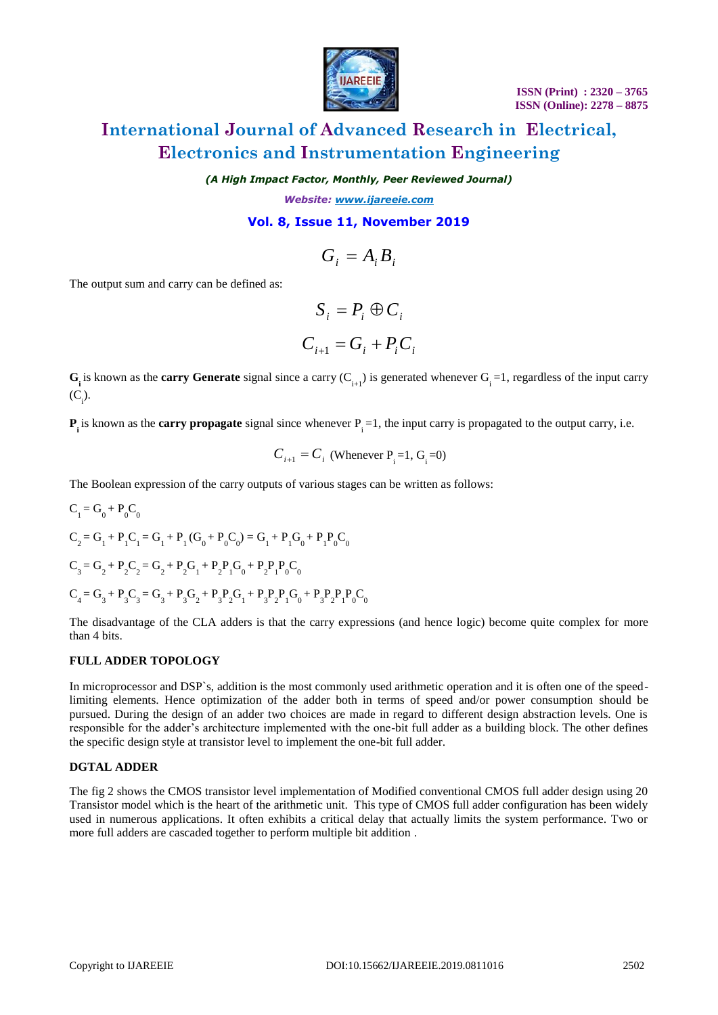

*(A High Impact Factor, Monthly, Peer Reviewed Journal)*

*Website: [www.ijareeie.com](http://www.ijareeie.com/)*

### **Vol. 8, Issue 11, November 2019**

$$
G_i = A_i B_i
$$

The output sum and carry can be defined as:

$$
S_i = P_i \oplus C_i
$$

$$
C_{i+1} = G_i + P_i C_i
$$

 $G_i$  is known as the **carry Generate** signal since a carry  $(C_{i+1})$  is generated whenever  $G_i = 1$ , regardless of the input carry  $(C_i)$ .

 $P_i$  is known as the **carry propagate** signal since whenever  $P_i = 1$ , the input carry is propagated to the output carry, i.e.

$$
C_{i+1} = C_i
$$
 (Whenever P<sub>i</sub> =1, G<sub>i</sub> =0)

The Boolean expression of the carry outputs of various stages can be written as follows:

$$
C_1 = G_0 + P_0 C_0
$$
  
\n
$$
C_2 = G_1 + P_1 C_1 = G_1 + P_1 (G_0 + P_0 C_0) = G_1 + P_1 G_0 + P_1 P_0 C_0
$$
  
\n
$$
C_3 = G_2 + P_2 C_2 = G_2 + P_2 G_1 + P_2 P_1 G_0 + P_2 P_1 P_0 C_0
$$
  
\n
$$
C_4 = G_3 + P_3 C_3 = G_3 + P_3 G_2 + P_3 P_2 G_1 + P_3 P_2 P_1 G_0 + P_3 P_2 P_1 P_0 C_0
$$

The disadvantage of the CLA adders is that the carry expressions (and hence logic) become quite complex for more than 4 bits.

#### **FULL ADDER TOPOLOGY**

The output som and carry can be defined as:<br>  $G_j = A_j B_j$ <br>  $C_i = C_i + P_i C_i$ <br>  $C_i$  is known as the carry Generate signal since a carry  $(C_{i+1})$  is generated whenever  $C_i^{-1}$ , regardless of the input carry<br>  $(C_i)$ <br>  $(C_i)$ <br>  $(C_i)$ <br>  $(C$ In microprocessor and DSP`s, addition is the most commonly used arithmetic operation and it is often one of the speedlimiting elements. Hence optimization of the adder both in terms of speed and/or power consumption should be pursued. During the design of an adder two choices are made in regard to different design abstraction levels. One is responsible for the adder's architecture implemented with the one-bit full adder as a building block. The other defines the specific design style at transistor level to implement the one-bit full adder.

#### **DGTAL ADDER**

The fig 2 shows the CMOS transistor level implementation of Modified conventional CMOS full adder design using 20 Transistor model which is the heart of the arithmetic unit. This type of CMOS full adder configuration has been widely used in numerous applications. It often exhibits a critical delay that actually limits the system performance. Two or more full adders are cascaded together to perform multiple bit addition .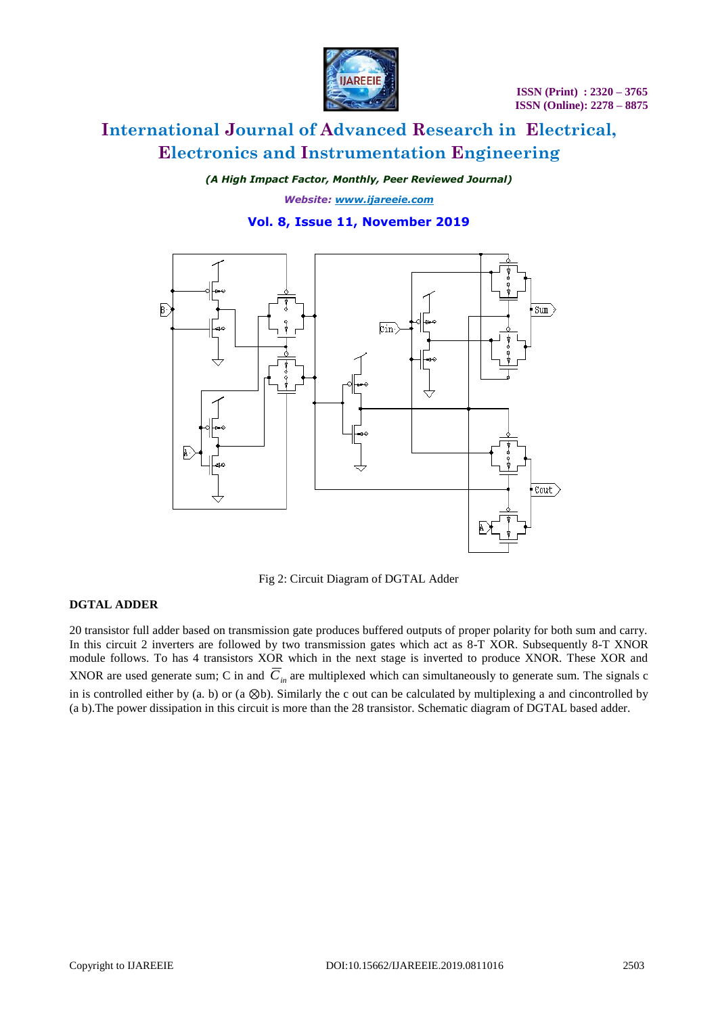

*(A High Impact Factor, Monthly, Peer Reviewed Journal)*

*Website: [www.ijareeie.com](http://www.ijareeie.com/)*

### **Vol. 8, Issue 11, November 2019**



Fig 2: Circuit Diagram of DGTAL Adder

#### **DGTAL ADDER**

20 transistor full adder based on transmission gate produces buffered outputs of proper polarity for both sum and carry. In this circuit 2 inverters are followed by two transmission gates which act as 8-T XOR. Subsequently 8-T XNOR module follows. To has 4 transistors XOR which in the next stage is inverted to produce XNOR. These XOR and XNOR are used generate sum; C in and  $C_{in}$  are multiplexed which can simultaneously to generate sum. The signals c in is controlled either by (a. b) or (a ⊗b). Similarly the c out can be calculated by multiplexing a and cincontrolled by (a b).The power dissipation in this circuit is more than the 28 transistor. Schematic diagram of DGTAL based adder.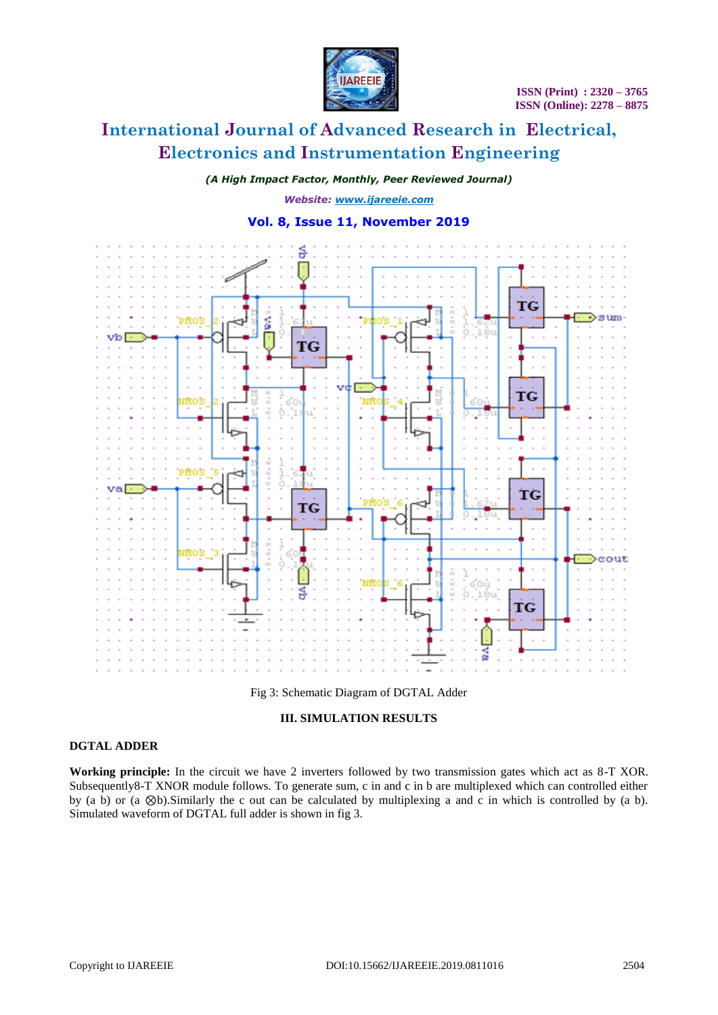

*(A High Impact Factor, Monthly, Peer Reviewed Journal)*

*Website: [www.ijareeie.com](http://www.ijareeie.com/)*

### **Vol. 8, Issue 11, November 2019**



Fig 3: Schematic Diagram of DGTAL Adder

### **III. SIMULATION RESULTS**

### **DGTAL ADDER**

**Working principle:** In the circuit we have 2 inverters followed by two transmission gates which act as 8-T XOR. Subsequently8-T XNOR module follows. To generate sum, c in and c in b are multiplexed which can controlled either by (a b) or (a ⊗b).Similarly the c out can be calculated by multiplexing a and c in which is controlled by (a b). Simulated waveform of DGTAL full adder is shown in fig 3.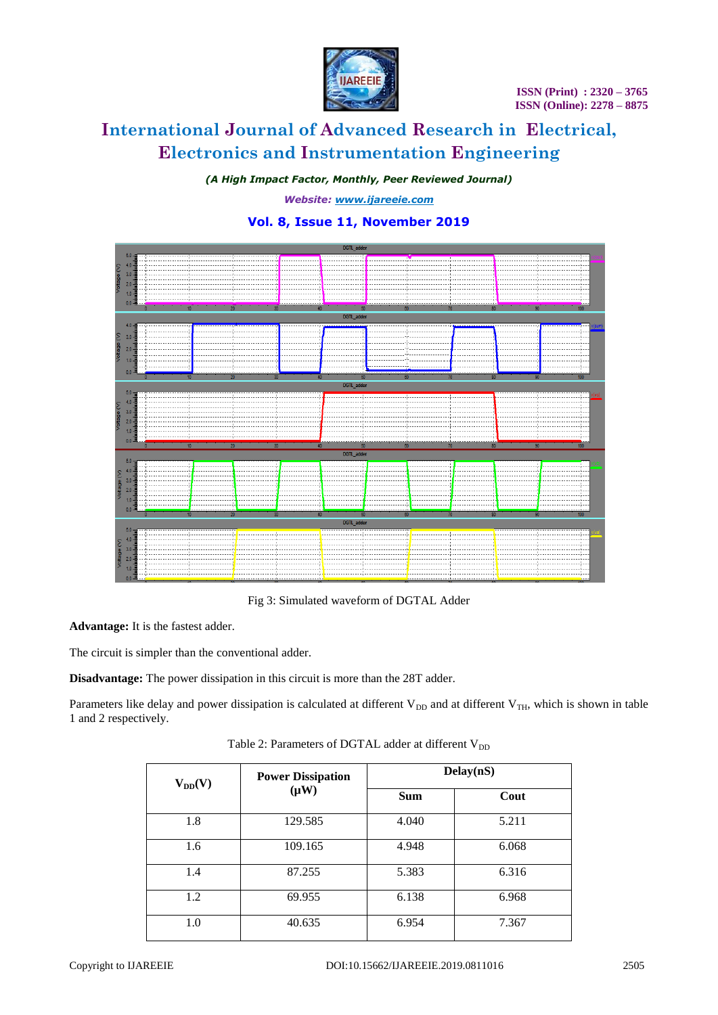

*(A High Impact Factor, Monthly, Peer Reviewed Journal)*

*Website: [www.ijareeie.com](http://www.ijareeie.com/)*

# **Vol. 8, Issue 11, November 2019**



Fig 3: Simulated waveform of DGTAL Adder

**Advantage:** It is the fastest adder.

The circuit is simpler than the conventional adder.

**Disadvantage:** The power dissipation in this circuit is more than the 28T adder.

Parameters like delay and power dissipation is calculated at different  $V_{DD}$  and at different  $V_{TH}$ , which is shown in table 1 and 2 respectively.

Table 2: Parameters of DGTAL adder at different  $V_{DD}$ 

| $V_{DD}(V)$ | <b>Power Dissipation</b><br>$(\mu W)$ | Delay(nS)  |       |
|-------------|---------------------------------------|------------|-------|
|             |                                       | <b>Sum</b> | Cout  |
| 1.8         | 129.585                               | 4.040      | 5.211 |
| 1.6         | 109.165                               | 4.948      | 6.068 |
| 1.4         | 87.255                                | 5.383      | 6.316 |
| 1.2         | 69.955                                | 6.138      | 6.968 |
| 1.0         | 40.635                                | 6.954      | 7.367 |